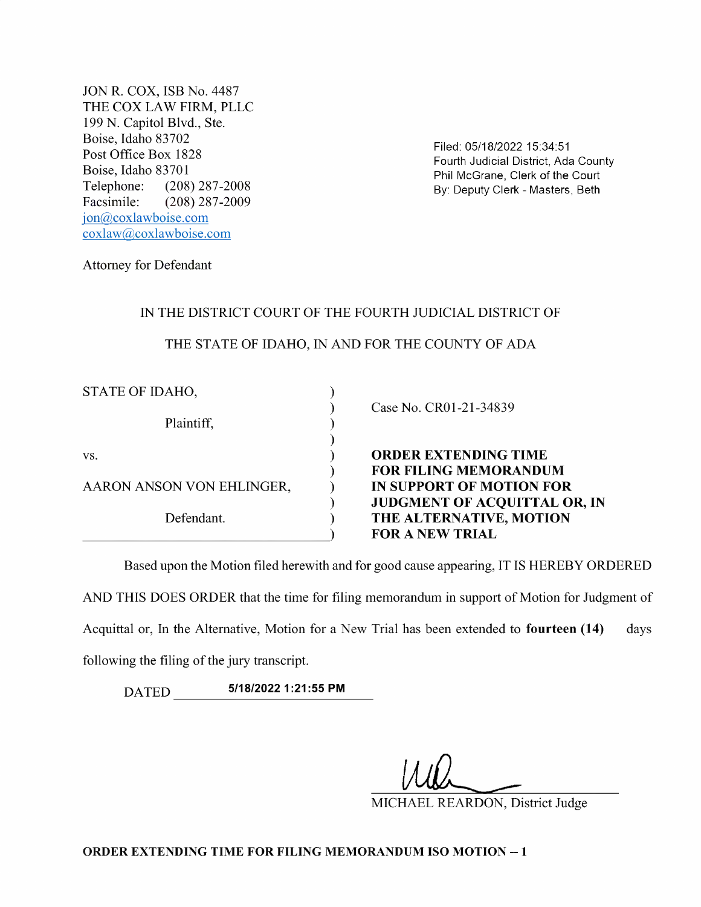JON R. COX, ISB No. <sup>4487</sup> THE COX LAW FIRM, PLLC 199 N. Capitol B1vd., Ste. Boise, Idaho 83702 Post Office Box 1828 Boise, Idaho 83701<br>Telephone: (208 Telephone: (208) 287-2008<br>Facsimile: (208) 287-2009  $(208)$  287-2009 jon@cox1awboise.com coxlaw@coxlawboise.com

Filed: 05/18/2022 15:34:51 Fourth Judicial District, Ada County Phil McGrane, Clerk of the Court By: Deputy Clerk - Masters, Beth

Attorney for Defendant

## IN THE DISTRICT COURT OF THE FOURTH JUDICIAL DISTRICT OF

THE STATE OF IDAHO, IN AND FOR THE COUNTY OF ADA

| STATE OF IDAHO,           | Case No. CR01-21-34839       |
|---------------------------|------------------------------|
| Plaintiff,                |                              |
| VS.                       | <b>ORDER EXTENDING TIME</b>  |
|                           | <b>FOR FILING MEMORANDUM</b> |
| AARON ANSON VON EHLINGER, | IN SUPPORT OF MOTION FOR     |
|                           | JUDGMENT OF ACQUITTAL OR, IN |
| Defendant.                | THE ALTERNATIVE, MOTION      |
|                           | <b>FOR A NEW TRIAL</b>       |

Based upon the Motion filed herewith and for good cause appearing, IT IS HEREBY ORDERED AND THIS DOES ORDER that the time for filing memorandum in support of Motion for Judgment of Acquittal or, In the Alternative, Motion for a New Trial has been extended to fourteen (14) days following the filing of the jury transcript.

DATED 5/18/2022 1:21:55 PM

MICHAEL REARDON, District Judge